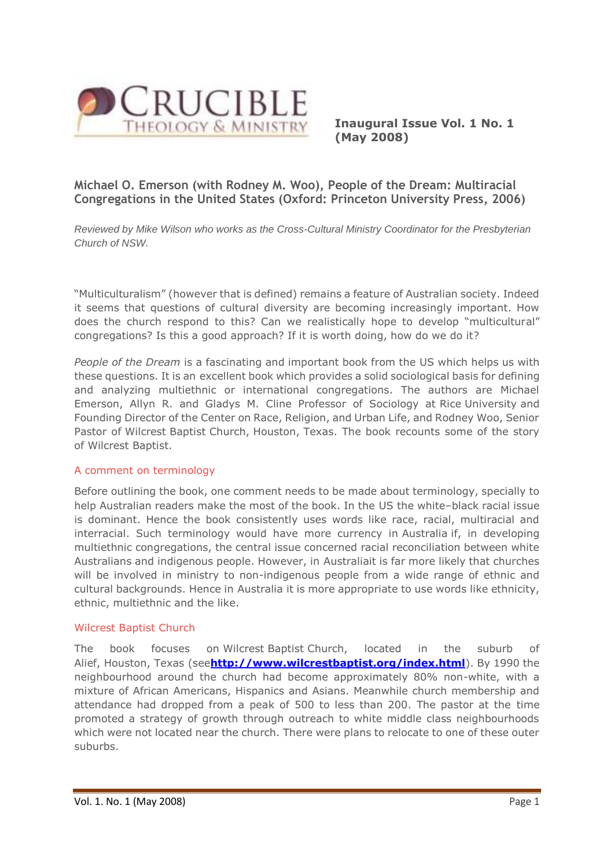

**Inaugural Issue Vol. 1 No. 1 (May 2008)**

# **Michael O. Emerson (with Rodney M. Woo), People of the Dream: Multiracial Congregations in the United States (Oxford: Princeton University Press, 2006)**

*Reviewed by Mike Wilson who works as the Cross-Cultural Ministry Coordinator for the Presbyterian Church of NSW.*

"Multiculturalism" (however that is defined) remains a feature of Australian society. Indeed it seems that questions of cultural diversity are becoming increasingly important. How does the church respond to this? Can we realistically hope to develop "multicultural" congregations? Is this a good approach? If it is worth doing, how do we do it?

*People of the Dream* is a fascinating and important book from the US which helps us with these questions. It is an excellent book which provides a solid sociological basis for defining and analyzing multiethnic or international congregations. The authors are Michael Emerson, Allyn R. and Gladys M. Cline Professor of Sociology at Rice University and Founding Director of the Center on Race, Religion, and Urban Life, and Rodney Woo, Senior Pastor of Wilcrest Baptist Church, Houston, Texas. The book recounts some of the story of Wilcrest Baptist.

## A comment on terminology

Before outlining the book, one comment needs to be made about terminology, specially to help Australian readers make the most of the book. In the US the white–black racial issue is dominant. Hence the book consistently uses words like race, racial, multiracial and interracial. Such terminology would have more currency in Australia if, in developing multiethnic congregations, the central issue concerned racial reconciliation between white Australians and indigenous people. However, in Australiait is far more likely that churches will be involved in ministry to non-indigenous people from a wide range of ethnic and cultural backgrounds. Hence in Australia it is more appropriate to use words like ethnicity, ethnic, multiethnic and the like.

## Wilcrest Baptist Church

The book focuses on Wilcrest Baptist Church, located in the suburb of Alief, Houston, Texas (see**<http://www.wilcrestbaptist.org/index.html>**). By 1990 the neighbourhood around the church had become approximately 80% non-white, with a mixture of African Americans, Hispanics and Asians. Meanwhile church membership and attendance had dropped from a peak of 500 to less than 200. The pastor at the time promoted a strategy of growth through outreach to white middle class neighbourhoods which were not located near the church. There were plans to relocate to one of these outer suburbs.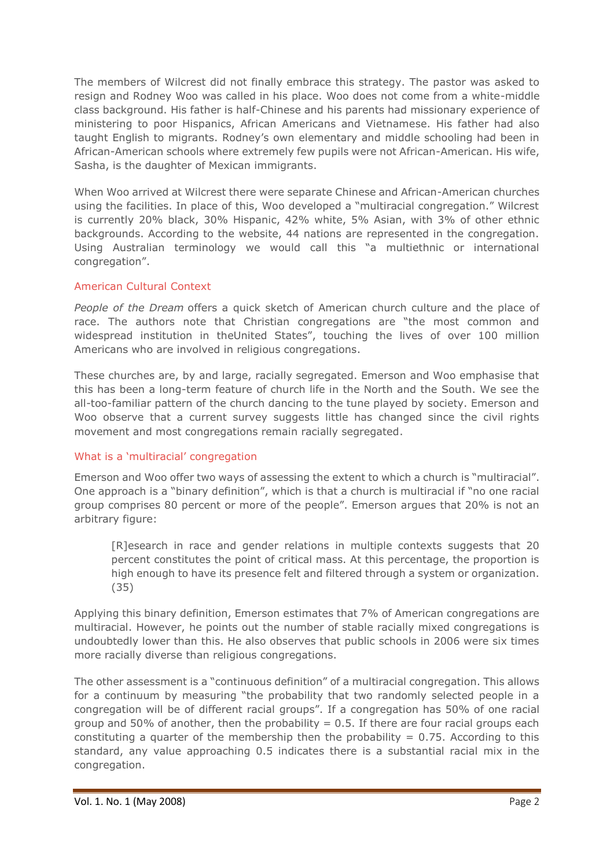The members of Wilcrest did not finally embrace this strategy. The pastor was asked to resign and Rodney Woo was called in his place. Woo does not come from a white-middle class background. His father is half-Chinese and his parents had missionary experience of ministering to poor Hispanics, African Americans and Vietnamese. His father had also taught English to migrants. Rodney's own elementary and middle schooling had been in African-American schools where extremely few pupils were not African-American. His wife, Sasha, is the daughter of Mexican immigrants.

When Woo arrived at Wilcrest there were separate Chinese and African-American churches using the facilities. In place of this, Woo developed a "multiracial congregation." Wilcrest is currently 20% black, 30% Hispanic, 42% white, 5% Asian, with 3% of other ethnic backgrounds. According to the website, 44 nations are represented in the congregation. Using Australian terminology we would call this "a multiethnic or international congregation".

## American Cultural Context

*People of the Dream* offers a quick sketch of American church culture and the place of race. The authors note that Christian congregations are "the most common and widespread institution in theUnited States", touching the lives of over 100 million Americans who are involved in religious congregations.

These churches are, by and large, racially segregated. Emerson and Woo emphasise that this has been a long-term feature of church life in the North and the South. We see the all-too-familiar pattern of the church dancing to the tune played by society. Emerson and Woo observe that a current survey suggests little has changed since the civil rights movement and most congregations remain racially segregated.

# What is a 'multiracial' congregation

Emerson and Woo offer two ways of assessing the extent to which a church is "multiracial". One approach is a "binary definition", which is that a church is multiracial if "no one racial group comprises 80 percent or more of the people". Emerson argues that 20% is not an arbitrary figure:

[R]esearch in race and gender relations in multiple contexts suggests that 20 percent constitutes the point of critical mass. At this percentage, the proportion is high enough to have its presence felt and filtered through a system or organization. (35)

Applying this binary definition, Emerson estimates that 7% of American congregations are multiracial. However, he points out the number of stable racially mixed congregations is undoubtedly lower than this. He also observes that public schools in 2006 were six times more racially diverse than religious congregations.

The other assessment is a "continuous definition" of a multiracial congregation. This allows for a continuum by measuring "the probability that two randomly selected people in a congregation will be of different racial groups". If a congregation has 50% of one racial group and 50% of another, then the probability  $= 0.5$ . If there are four racial groups each constituting a quarter of the membership then the probability  $= 0.75$ . According to this standard, any value approaching 0.5 indicates there is a substantial racial mix in the congregation.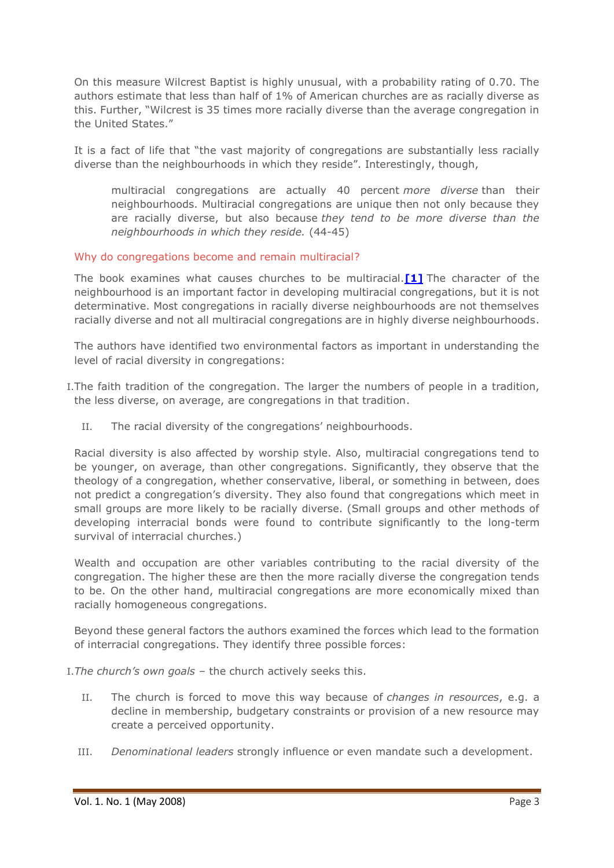On this measure Wilcrest Baptist is highly unusual, with a probability rating of 0.70. The authors estimate that less than half of 1% of American churches are as racially diverse as this. Further, "Wilcrest is 35 times more racially diverse than the average congregation in the United States."

It is a fact of life that "the vast majority of congregations are substantially less racially diverse than the neighbourhoods in which they reside". Interestingly, though,

multiracial congregations are actually 40 percent *more diverse* than their neighbourhoods. Multiracial congregations are unique then not only because they are racially diverse, but also because *they tend to be more diverse than the neighbourhoods in which they reside.* (44-45)

## Why do congregations become and remain multiracial?

The book examines what causes churches to be multiracial.**[\[1\]](http://www.ea.org.au/Crucible/Issues/Emerson-and-Woo--People-of-the-Dream#_edn1)** The character of the neighbourhood is an important factor in developing multiracial congregations, but it is not determinative. Most congregations in racially diverse neighbourhoods are not themselves racially diverse and not all multiracial congregations are in highly diverse neighbourhoods.

The authors have identified two environmental factors as important in understanding the level of racial diversity in congregations:

- I.The faith tradition of the congregation. The larger the numbers of people in a tradition, the less diverse, on average, are congregations in that tradition.
	- II. The racial diversity of the congregations' neighbourhoods.

Racial diversity is also affected by worship style. Also, multiracial congregations tend to be younger, on average, than other congregations. Significantly, they observe that the theology of a congregation, whether conservative, liberal, or something in between, does not predict a congregation's diversity. They also found that congregations which meet in small groups are more likely to be racially diverse. (Small groups and other methods of developing interracial bonds were found to contribute significantly to the long-term survival of interracial churches.)

Wealth and occupation are other variables contributing to the racial diversity of the congregation. The higher these are then the more racially diverse the congregation tends to be. On the other hand, multiracial congregations are more economically mixed than racially homogeneous congregations.

Beyond these general factors the authors examined the forces which lead to the formation of interracial congregations. They identify three possible forces:

I.*The church's own goals* – the church actively seeks this.

- II. The church is forced to move this way because of *changes in resources*, e.g. a decline in membership, budgetary constraints or provision of a new resource may create a perceived opportunity.
- III. *Denominational leaders* strongly influence or even mandate such a development.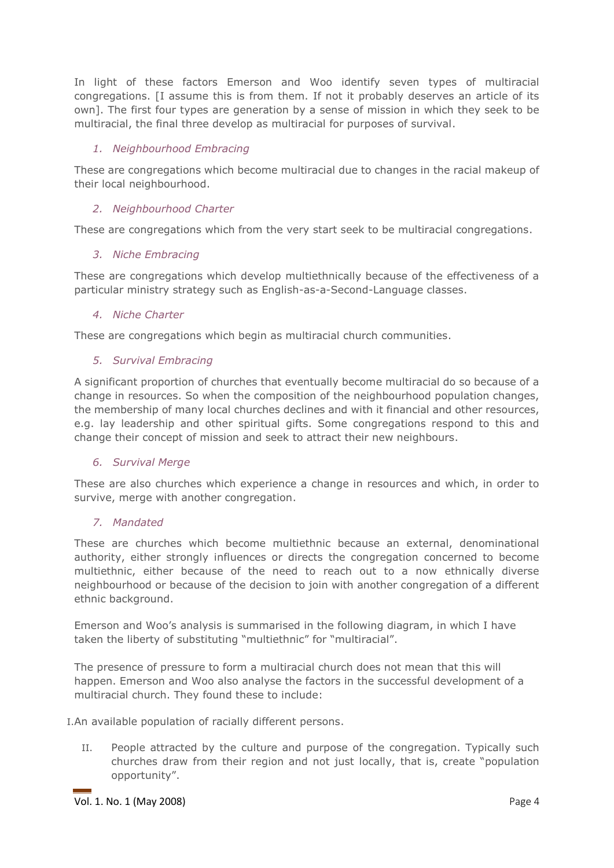In light of these factors Emerson and Woo identify seven types of multiracial congregations. [I assume this is from them. If not it probably deserves an article of its own]. The first four types are generation by a sense of mission in which they seek to be multiracial, the final three develop as multiracial for purposes of survival.

## *1. Neighbourhood Embracing*

These are congregations which become multiracial due to changes in the racial makeup of their local neighbourhood.

## *2. Neighbourhood Charter*

These are congregations which from the very start seek to be multiracial congregations.

#### *3. Niche Embracing*

These are congregations which develop multiethnically because of the effectiveness of a particular ministry strategy such as English-as-a-Second-Language classes.

#### *4. Niche Charter*

These are congregations which begin as multiracial church communities.

#### *5. Survival Embracing*

A significant proportion of churches that eventually become multiracial do so because of a change in resources. So when the composition of the neighbourhood population changes, the membership of many local churches declines and with it financial and other resources, e.g. lay leadership and other spiritual gifts. Some congregations respond to this and change their concept of mission and seek to attract their new neighbours.

## *6. Survival Merge*

These are also churches which experience a change in resources and which, in order to survive, merge with another congregation.

## *7. Mandated*

These are churches which become multiethnic because an external, denominational authority, either strongly influences or directs the congregation concerned to become multiethnic, either because of the need to reach out to a now ethnically diverse neighbourhood or because of the decision to join with another congregation of a different ethnic background.

Emerson and Woo's analysis is summarised in the following diagram, in which I have taken the liberty of substituting "multiethnic" for "multiracial".

The presence of pressure to form a multiracial church does not mean that this will happen. Emerson and Woo also analyse the factors in the successful development of a multiracial church. They found these to include:

I.An available population of racially different persons.

II. People attracted by the culture and purpose of the congregation. Typically such churches draw from their region and not just locally, that is, create "population opportunity".

Vol. 1. No. 1 (May 2008) Page 4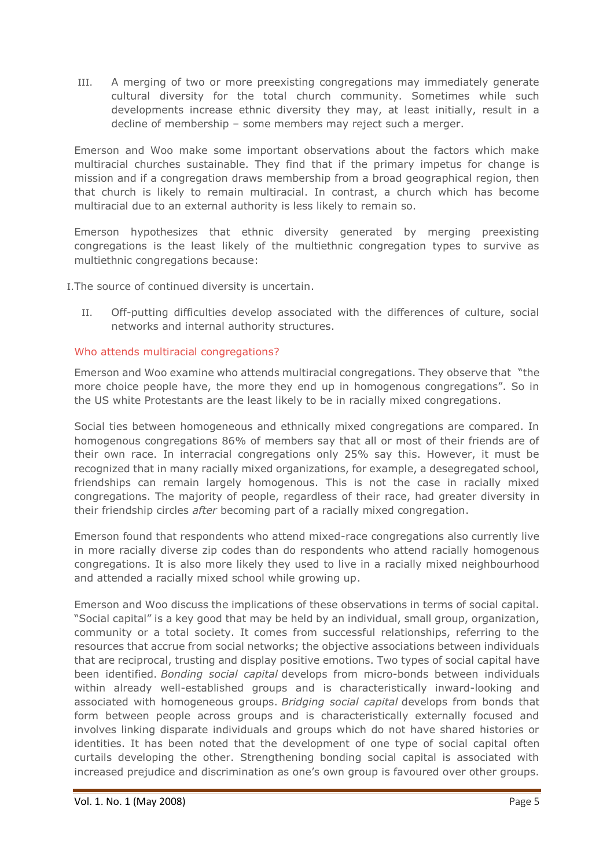III. A merging of two or more preexisting congregations may immediately generate cultural diversity for the total church community. Sometimes while such developments increase ethnic diversity they may, at least initially, result in a decline of membership – some members may reject such a merger.

Emerson and Woo make some important observations about the factors which make multiracial churches sustainable. They find that if the primary impetus for change is mission and if a congregation draws membership from a broad geographical region, then that church is likely to remain multiracial. In contrast, a church which has become multiracial due to an external authority is less likely to remain so.

Emerson hypothesizes that ethnic diversity generated by merging preexisting congregations is the least likely of the multiethnic congregation types to survive as multiethnic congregations because:

I.The source of continued diversity is uncertain.

II. Off-putting difficulties develop associated with the differences of culture, social networks and internal authority structures.

# Who attends multiracial congregations?

Emerson and Woo examine who attends multiracial congregations. They observe that "the more choice people have, the more they end up in homogenous congregations". So in the US white Protestants are the least likely to be in racially mixed congregations.

Social ties between homogeneous and ethnically mixed congregations are compared. In homogenous congregations 86% of members say that all or most of their friends are of their own race. In interracial congregations only 25% say this. However, it must be recognized that in many racially mixed organizations, for example, a desegregated school, friendships can remain largely homogenous. This is not the case in racially mixed congregations. The majority of people, regardless of their race, had greater diversity in their friendship circles *after* becoming part of a racially mixed congregation.

Emerson found that respondents who attend mixed-race congregations also currently live in more racially diverse zip codes than do respondents who attend racially homogenous congregations. It is also more likely they used to live in a racially mixed neighbourhood and attended a racially mixed school while growing up.

Emerson and Woo discuss the implications of these observations in terms of social capital. "Social capital" is a key good that may be held by an individual, small group, organization, community or a total society. It comes from successful relationships, referring to the resources that accrue from social networks; the objective associations between individuals that are reciprocal, trusting and display positive emotions. Two types of social capital have been identified. *Bonding social capital* develops from micro-bonds between individuals within already well-established groups and is characteristically inward-looking and associated with homogeneous groups. *Bridging social capital* develops from bonds that form between people across groups and is characteristically externally focused and involves linking disparate individuals and groups which do not have shared histories or identities. It has been noted that the development of one type of social capital often curtails developing the other. Strengthening bonding social capital is associated with increased prejudice and discrimination as one's own group is favoured over other groups.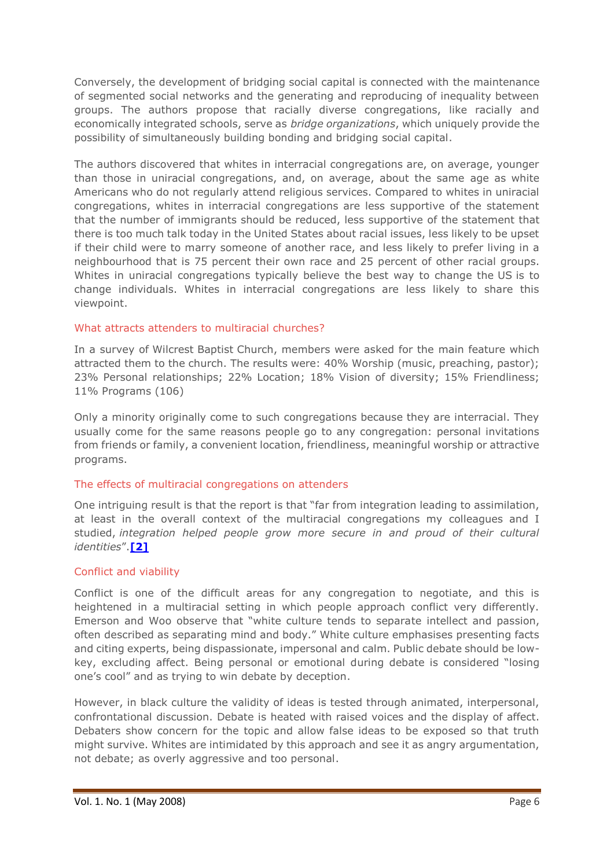Conversely, the development of bridging social capital is connected with the maintenance of segmented social networks and the generating and reproducing of inequality between groups. The authors propose that racially diverse congregations, like racially and economically integrated schools, serve as *bridge organizations*, which uniquely provide the possibility of simultaneously building bonding and bridging social capital.

The authors discovered that whites in interracial congregations are, on average, younger than those in uniracial congregations, and, on average, about the same age as white Americans who do not regularly attend religious services. Compared to whites in uniracial congregations, whites in interracial congregations are less supportive of the statement that the number of immigrants should be reduced, less supportive of the statement that there is too much talk today in the United States about racial issues, less likely to be upset if their child were to marry someone of another race, and less likely to prefer living in a neighbourhood that is 75 percent their own race and 25 percent of other racial groups. Whites in uniracial congregations typically believe the best way to change the US is to change individuals. Whites in interracial congregations are less likely to share this viewpoint.

## What attracts attenders to multiracial churches?

In a survey of Wilcrest Baptist Church, members were asked for the main feature which attracted them to the church. The results were: 40% Worship (music, preaching, pastor); 23% Personal relationships; 22% Location; 18% Vision of diversity; 15% Friendliness; 11% Programs (106)

Only a minority originally come to such congregations because they are interracial. They usually come for the same reasons people go to any congregation: personal invitations from friends or family, a convenient location, friendliness, meaningful worship or attractive programs.

## The effects of multiracial congregations on attenders

One intriguing result is that the report is that "far from integration leading to assimilation, at least in the overall context of the multiracial congregations my colleagues and I studied, *integration helped people grow more secure in and proud of their cultural identities*".**[\[2\]](http://www.ea.org.au/Crucible/Issues/Emerson-and-Woo--People-of-the-Dream#_edn2)**

## Conflict and viability

Conflict is one of the difficult areas for any congregation to negotiate, and this is heightened in a multiracial setting in which people approach conflict very differently. Emerson and Woo observe that "white culture tends to separate intellect and passion, often described as separating mind and body." White culture emphasises presenting facts and citing experts, being dispassionate, impersonal and calm. Public debate should be lowkey, excluding affect. Being personal or emotional during debate is considered "losing one's cool" and as trying to win debate by deception.

However, in black culture the validity of ideas is tested through animated, interpersonal, confrontational discussion. Debate is heated with raised voices and the display of affect. Debaters show concern for the topic and allow false ideas to be exposed so that truth might survive. Whites are intimidated by this approach and see it as angry argumentation, not debate; as overly aggressive and too personal.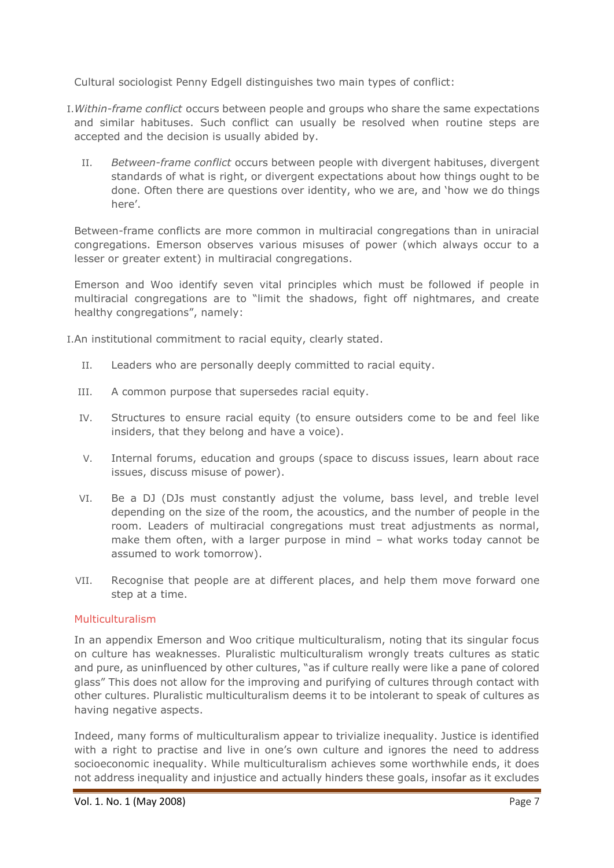Cultural sociologist Penny Edgell distinguishes two main types of conflict:

- I.*Within-frame conflict* occurs between people and groups who share the same expectations and similar habituses. Such conflict can usually be resolved when routine steps are accepted and the decision is usually abided by.
	- II. *Between-frame conflict* occurs between people with divergent habituses, divergent standards of what is right, or divergent expectations about how things ought to be done. Often there are questions over identity, who we are, and 'how we do things here'.

Between-frame conflicts are more common in multiracial congregations than in uniracial congregations. Emerson observes various misuses of power (which always occur to a lesser or greater extent) in multiracial congregations.

Emerson and Woo identify seven vital principles which must be followed if people in multiracial congregations are to "limit the shadows, fight off nightmares, and create healthy congregations", namely:

I.An institutional commitment to racial equity, clearly stated.

- II. Leaders who are personally deeply committed to racial equity.
- III. A common purpose that supersedes racial equity.
- IV. Structures to ensure racial equity (to ensure outsiders come to be and feel like insiders, that they belong and have a voice).
- V. Internal forums, education and groups (space to discuss issues, learn about race issues, discuss misuse of power).
- VI. Be a DJ (DJs must constantly adjust the volume, bass level, and treble level depending on the size of the room, the acoustics, and the number of people in the room. Leaders of multiracial congregations must treat adjustments as normal, make them often, with a larger purpose in mind – what works today cannot be assumed to work tomorrow).
- VII. Recognise that people are at different places, and help them move forward one step at a time.

## Multiculturalism

In an appendix Emerson and Woo critique multiculturalism, noting that its singular focus on culture has weaknesses. Pluralistic multiculturalism wrongly treats cultures as static and pure, as uninfluenced by other cultures, "as if culture really were like a pane of colored glass" This does not allow for the improving and purifying of cultures through contact with other cultures. Pluralistic multiculturalism deems it to be intolerant to speak of cultures as having negative aspects.

Indeed, many forms of multiculturalism appear to trivialize inequality. Justice is identified with a right to practise and live in one's own culture and ignores the need to address socioeconomic inequality. While multiculturalism achieves some worthwhile ends, it does not address inequality and injustice and actually hinders these goals, insofar as it excludes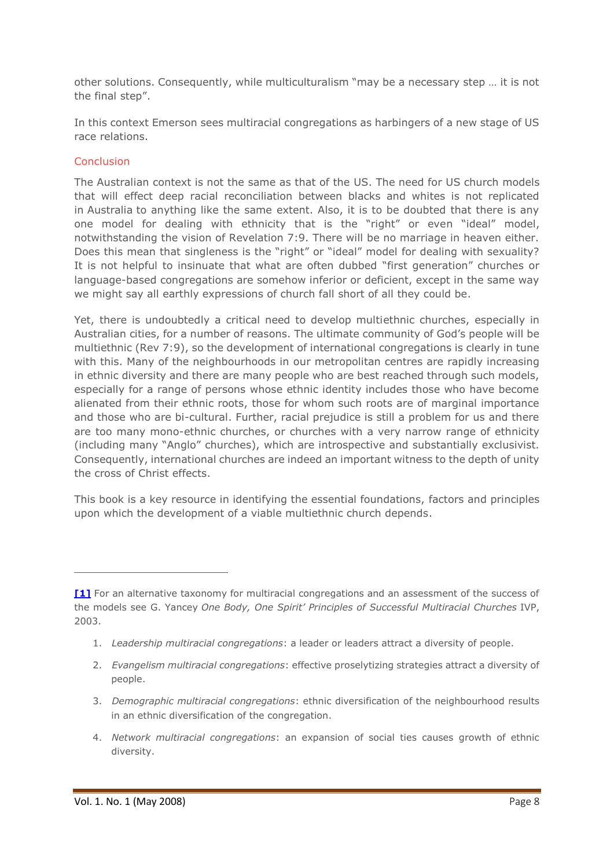other solutions. Consequently, while multiculturalism "may be a necessary step … it is not the final step".

In this context Emerson sees multiracial congregations as harbingers of a new stage of US race relations.

#### Conclusion

The Australian context is not the same as that of the US. The need for US church models that will effect deep racial reconciliation between blacks and whites is not replicated in Australia to anything like the same extent. Also, it is to be doubted that there is any one model for dealing with ethnicity that is the "right" or even "ideal" model, notwithstanding the vision of Revelation 7:9. There will be no marriage in heaven either. Does this mean that singleness is the "right" or "ideal" model for dealing with sexuality? It is not helpful to insinuate that what are often dubbed "first generation" churches or language-based congregations are somehow inferior or deficient, except in the same way we might say all earthly expressions of church fall short of all they could be.

Yet, there is undoubtedly a critical need to develop multiethnic churches, especially in Australian cities, for a number of reasons. The ultimate community of God's people will be multiethnic (Rev 7:9), so the development of international congregations is clearly in tune with this. Many of the neighbourhoods in our metropolitan centres are rapidly increasing in ethnic diversity and there are many people who are best reached through such models, especially for a range of persons whose ethnic identity includes those who have become alienated from their ethnic roots, those for whom such roots are of marginal importance and those who are bi-cultural. Further, racial prejudice is still a problem for us and there are too many mono-ethnic churches, or churches with a very narrow range of ethnicity (including many "Anglo" churches), which are introspective and substantially exclusivist. Consequently, international churches are indeed an important witness to the depth of unity the cross of Christ effects.

This book is a key resource in identifying the essential foundations, factors and principles upon which the development of a viable multiethnic church depends.

- 1. *Leadership multiracial congregations*: a leader or leaders attract a diversity of people.
- 2. *Evangelism multiracial congregations*: effective proselytizing strategies attract a diversity of people.
- 3. *Demographic multiracial congregations*: ethnic diversification of the neighbourhood results in an ethnic diversification of the congregation.
- 4. *Network multiracial congregations*: an expansion of social ties causes growth of ethnic diversity.

**[<sup>\[1\]</sup>](http://www.ea.org.au/Crucible/Issues/Emerson-and-Woo--People-of-the-Dream#_ednref1)** For an alternative taxonomy for multiracial congregations and an assessment of the success of the models see G. Yancey *One Body, One Spirit' Principles of Successful Multiracial Churches* IVP, 2003.